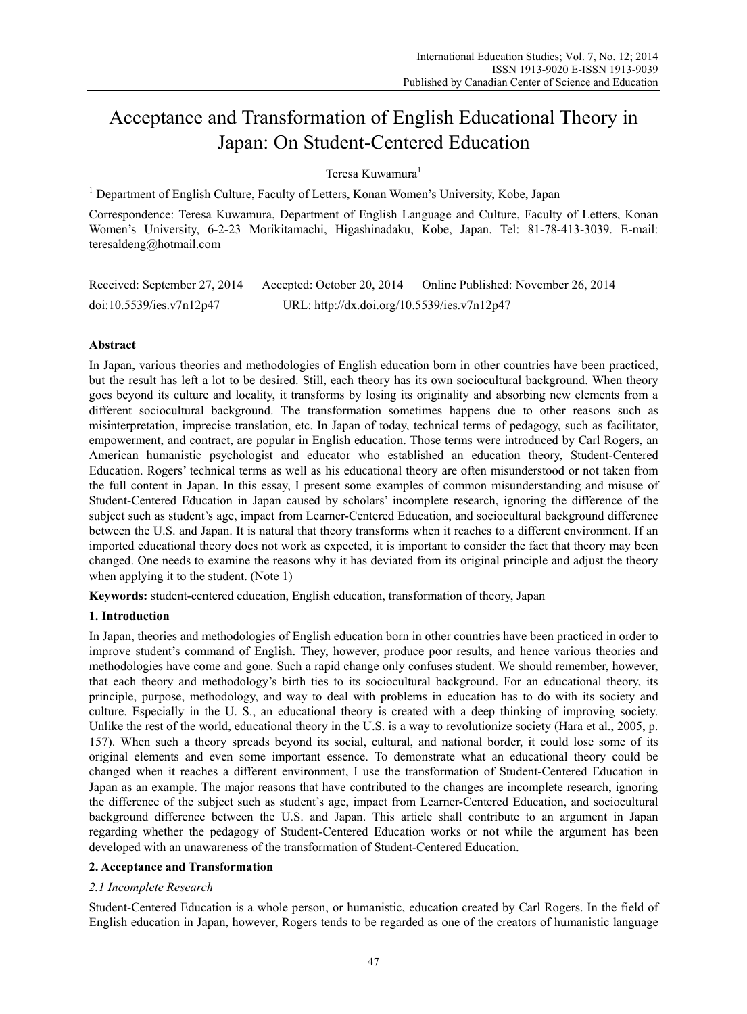# Acceptance and Transformation of English Educational Theory in Japan: On Student-Centered Education

Teresa Kuwamura<sup>1</sup>

<sup>1</sup> Department of English Culture, Faculty of Letters, Konan Women's University, Kobe, Japan

Correspondence: Teresa Kuwamura, Department of English Language and Culture, Faculty of Letters, Konan Women's University, 6-2-23 Morikitamachi, Higashinadaku, Kobe, Japan. Tel: 81-78-413-3039. E-mail: teresaldeng@hotmail.com

| Received: September 27, 2014 | Accepted: October 20, 2014                  | Online Published: November 26, 2014 |
|------------------------------|---------------------------------------------|-------------------------------------|
| doi:10.5539/ies.v7n12p47     | URL: http://dx.doi.org/10.5539/ies.v7n12p47 |                                     |

## **Abstract**

In Japan, various theories and methodologies of English education born in other countries have been practiced, but the result has left a lot to be desired. Still, each theory has its own sociocultural background. When theory goes beyond its culture and locality, it transforms by losing its originality and absorbing new elements from a different sociocultural background. The transformation sometimes happens due to other reasons such as misinterpretation, imprecise translation, etc. In Japan of today, technical terms of pedagogy, such as facilitator, empowerment, and contract, are popular in English education. Those terms were introduced by Carl Rogers, an American humanistic psychologist and educator who established an education theory, Student-Centered Education. Rogers' technical terms as well as his educational theory are often misunderstood or not taken from the full content in Japan. In this essay, I present some examples of common misunderstanding and misuse of Student-Centered Education in Japan caused by scholars' incomplete research, ignoring the difference of the subject such as student's age, impact from Learner-Centered Education, and sociocultural background difference between the U.S. and Japan. It is natural that theory transforms when it reaches to a different environment. If an imported educational theory does not work as expected, it is important to consider the fact that theory may been changed. One needs to examine the reasons why it has deviated from its original principle and adjust the theory when applying it to the student. (Note 1)

**Keywords:** student-centered education, English education, transformation of theory, Japan

## **1. Introduction**

In Japan, theories and methodologies of English education born in other countries have been practiced in order to improve student's command of English. They, however, produce poor results, and hence various theories and methodologies have come and gone. Such a rapid change only confuses student. We should remember, however, that each theory and methodology's birth ties to its sociocultural background. For an educational theory, its principle, purpose, methodology, and way to deal with problems in education has to do with its society and culture. Especially in the U. S., an educational theory is created with a deep thinking of improving society. Unlike the rest of the world, educational theory in the U.S. is a way to revolutionize society (Hara et al., 2005, p. 157). When such a theory spreads beyond its social, cultural, and national border, it could lose some of its original elements and even some important essence. To demonstrate what an educational theory could be changed when it reaches a different environment, I use the transformation of Student-Centered Education in Japan as an example. The major reasons that have contributed to the changes are incomplete research, ignoring the difference of the subject such as student's age, impact from Learner-Centered Education, and sociocultural background difference between the U.S. and Japan. This article shall contribute to an argument in Japan regarding whether the pedagogy of Student-Centered Education works or not while the argument has been developed with an unawareness of the transformation of Student-Centered Education.

## **2. Acceptance and Transformation**

## *2.1 Incomplete Research*

Student-Centered Education is a whole person, or humanistic, education created by Carl Rogers. In the field of English education in Japan, however, Rogers tends to be regarded as one of the creators of humanistic language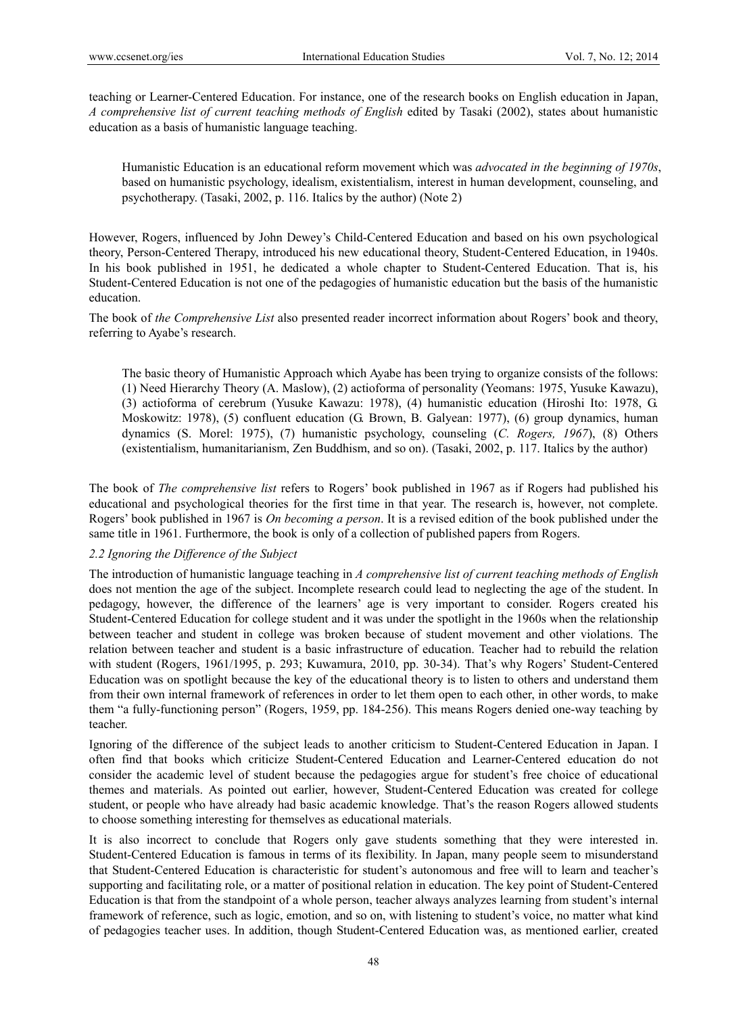teaching or Learner-Centered Education. For instance, one of the research books on English education in Japan, *A comprehensive list of current teaching methods of English* edited by Tasaki (2002), states about humanistic education as a basis of humanistic language teaching.

Humanistic Education is an educational reform movement which was *advocated in the beginning of 1970s*, based on humanistic psychology, idealism, existentialism, interest in human development, counseling, and psychotherapy. (Tasaki, 2002, p. 116. Italics by the author) (Note 2)

However, Rogers, influenced by John Dewey's Child-Centered Education and based on his own psychological theory, Person-Centered Therapy, introduced his new educational theory, Student-Centered Education, in 1940s. In his book published in 1951, he dedicated a whole chapter to Student-Centered Education. That is, his Student-Centered Education is not one of the pedagogies of humanistic education but the basis of the humanistic education.

The book of *the Comprehensive List* also presented reader incorrect information about Rogers' book and theory, referring to Ayabe's research.

The basic theory of Humanistic Approach which Ayabe has been trying to organize consists of the follows: (1) Need Hierarchy Theory (A. Maslow), (2) actioforma of personality (Yeomans: 1975, Yusuke Kawazu), (3) actioforma of cerebrum (Yusuke Kawazu: 1978), (4) humanistic education (Hiroshi Ito: 1978, G. Moskowitz: 1978), (5) confluent education (G. Brown, B. Galyean: 1977), (6) group dynamics, human dynamics (S. Morel: 1975), (7) humanistic psychology, counseling (*C. Rogers, 1967*), (8) Others (existentialism, humanitarianism, Zen Buddhism, and so on). (Tasaki, 2002, p. 117. Italics by the author)

The book of *The comprehensive list* refers to Rogers' book published in 1967 as if Rogers had published his educational and psychological theories for the first time in that year. The research is, however, not complete. Rogers' book published in 1967 is *On becoming a person*. It is a revised edition of the book published under the same title in 1961. Furthermore, the book is only of a collection of published papers from Rogers.

#### *2.2 Ignoring the Difference of the Subject*

The introduction of humanistic language teaching in *A comprehensive list of current teaching methods of English* does not mention the age of the subject. Incomplete research could lead to neglecting the age of the student. In pedagogy, however, the difference of the learners' age is very important to consider. Rogers created his Student-Centered Education for college student and it was under the spotlight in the 1960s when the relationship between teacher and student in college was broken because of student movement and other violations. The relation between teacher and student is a basic infrastructure of education. Teacher had to rebuild the relation with student (Rogers, 1961/1995, p. 293; Kuwamura, 2010, pp. 30-34). That's why Rogers' Student-Centered Education was on spotlight because the key of the educational theory is to listen to others and understand them from their own internal framework of references in order to let them open to each other, in other words, to make them "a fully-functioning person" (Rogers, 1959, pp. 184-256). This means Rogers denied one-way teaching by teacher.

Ignoring of the difference of the subject leads to another criticism to Student-Centered Education in Japan. I often find that books which criticize Student-Centered Education and Learner-Centered education do not consider the academic level of student because the pedagogies argue for student's free choice of educational themes and materials. As pointed out earlier, however, Student-Centered Education was created for college student, or people who have already had basic academic knowledge. That's the reason Rogers allowed students to choose something interesting for themselves as educational materials.

It is also incorrect to conclude that Rogers only gave students something that they were interested in. Student-Centered Education is famous in terms of its flexibility. In Japan, many people seem to misunderstand that Student-Centered Education is characteristic for student's autonomous and free will to learn and teacher's supporting and facilitating role, or a matter of positional relation in education. The key point of Student-Centered Education is that from the standpoint of a whole person, teacher always analyzes learning from student's internal framework of reference, such as logic, emotion, and so on, with listening to student's voice, no matter what kind of pedagogies teacher uses. In addition, though Student-Centered Education was, as mentioned earlier, created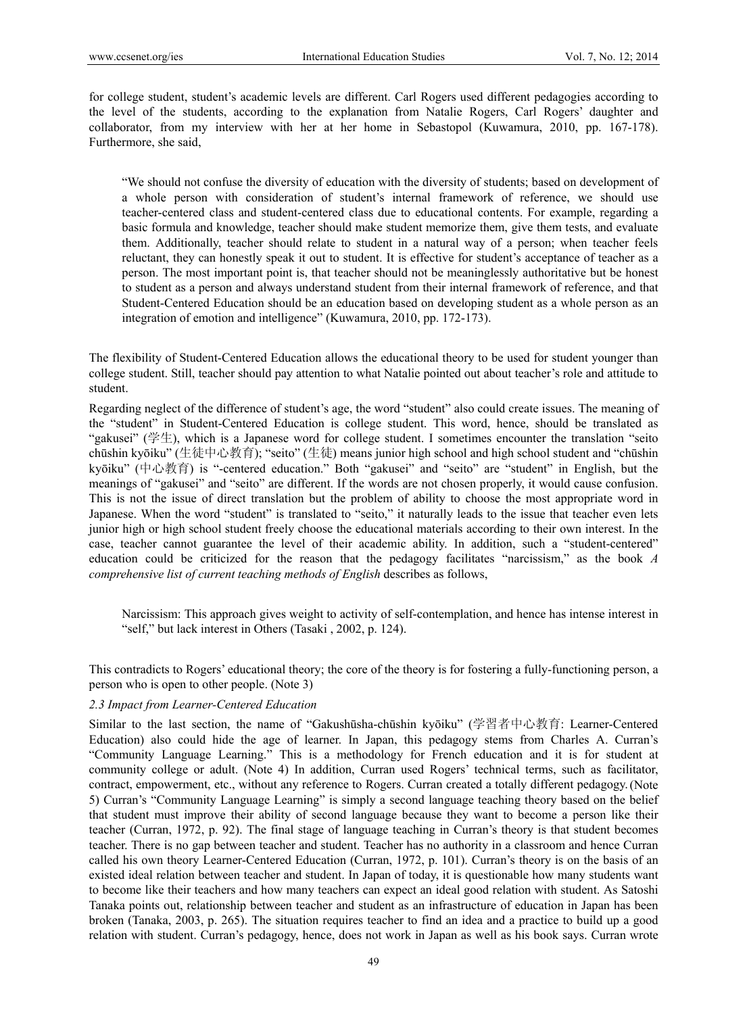for college student, student's academic levels are different. Carl Rogers used different pedagogies according to the level of the students, according to the explanation from Natalie Rogers, Carl Rogers' daughter and collaborator, from my interview with her at her home in Sebastopol (Kuwamura, 2010, pp. 167-178). Furthermore, she said,

"We should not confuse the diversity of education with the diversity of students; based on development of a whole person with consideration of student's internal framework of reference, we should use teacher-centered class and student-centered class due to educational contents. For example, regarding a basic formula and knowledge, teacher should make student memorize them, give them tests, and evaluate them. Additionally, teacher should relate to student in a natural way of a person; when teacher feels reluctant, they can honestly speak it out to student. It is effective for student's acceptance of teacher as a person. The most important point is, that teacher should not be meaninglessly authoritative but be honest to student as a person and always understand student from their internal framework of reference, and that Student-Centered Education should be an education based on developing student as a whole person as an integration of emotion and intelligence" (Kuwamura, 2010, pp. 172-173).

The flexibility of Student-Centered Education allows the educational theory to be used for student younger than college student. Still, teacher should pay attention to what Natalie pointed out about teacher's role and attitude to student.

Regarding neglect of the difference of student's age, the word "student" also could create issues. The meaning of the "student" in Student-Centered Education is college student. This word, hence, should be translated as "gakusei" (学生), which is a Japanese word for college student. I sometimes encounter the translation "seito chūshin kyōiku" (生徒中心教育); "seito" (生徒) means junior high school and high school student and "chūshin kyōiku" (中心教育) is "-centered education." Both "gakusei" and "seito" are "student" in English, but the meanings of "gakusei" and "seito" are different. If the words are not chosen properly, it would cause confusion. This is not the issue of direct translation but the problem of ability to choose the most appropriate word in Japanese. When the word "student" is translated to "seito," it naturally leads to the issue that teacher even lets junior high or high school student freely choose the educational materials according to their own interest. In the case, teacher cannot guarantee the level of their academic ability. In addition, such a "student-centered" education could be criticized for the reason that the pedagogy facilitates "narcissism," as the book *A comprehensive list of current teaching methods of English* describes as follows,

Narcissism: This approach gives weight to activity of self-contemplation, and hence has intense interest in "self," but lack interest in Others (Tasaki , 2002, p. 124).

This contradicts to Rogers' educational theory; the core of the theory is for fostering a fully-functioning person, a person who is open to other people. (Note 3)

#### *2.3 Impact from Learner-Centered Education*

Similar to the last section, the name of "Gakushūsha-chūshin kyōiku" (学習者中心教育: Learner-Centered Education) also could hide the age of learner. In Japan, this pedagogy stems from Charles A. Curran's "Community Language Learning." This is a methodology for French education and it is for student at community college or adult. (Note 4) In addition, Curran used Rogers' technical terms, such as facilitator, contract, empowerment, etc., without any reference to Rogers. Curran created a totally different pedagogy.(Note 5) Curran's "Community Language Learning" is simply a second language teaching theory based on the belief that student must improve their ability of second language because they want to become a person like their teacher (Curran, 1972, p. 92). The final stage of language teaching in Curran's theory is that student becomes teacher. There is no gap between teacher and student. Teacher has no authority in a classroom and hence Curran called his own theory Learner-Centered Education (Curran, 1972, p. 101). Curran's theory is on the basis of an existed ideal relation between teacher and student. In Japan of today, it is questionable how many students want to become like their teachers and how many teachers can expect an ideal good relation with student. As Satoshi Tanaka points out, relationship between teacher and student as an infrastructure of education in Japan has been broken (Tanaka, 2003, p. 265). The situation requires teacher to find an idea and a practice to build up a good relation with student. Curran's pedagogy, hence, does not work in Japan as well as his book says. Curran wrote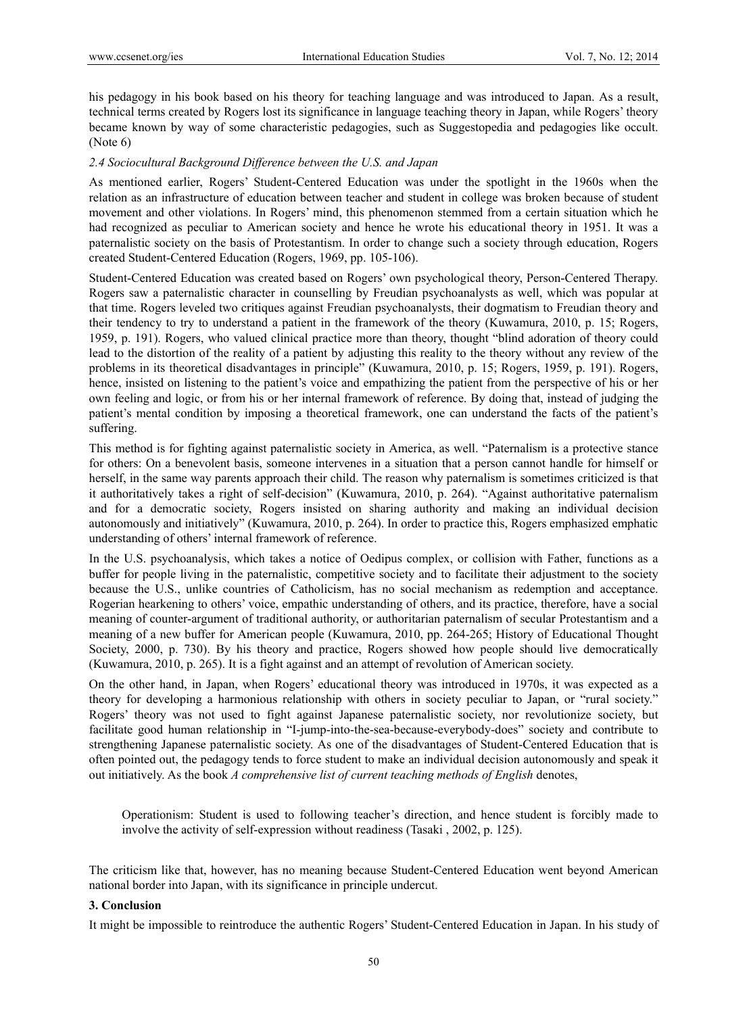his pedagogy in his book based on his theory for teaching language and was introduced to Japan. As a result, technical terms created by Rogers lost its significance in language teaching theory in Japan, while Rogers' theory became known by way of some characteristic pedagogies, such as Suggestopedia and pedagogies like occult. (Note 6)

## *2.4 Sociocultural Background Difference between the U.S. and Japan*

As mentioned earlier, Rogers' Student-Centered Education was under the spotlight in the 1960s when the relation as an infrastructure of education between teacher and student in college was broken because of student movement and other violations. In Rogers' mind, this phenomenon stemmed from a certain situation which he had recognized as peculiar to American society and hence he wrote his educational theory in 1951. It was a paternalistic society on the basis of Protestantism. In order to change such a society through education, Rogers created Student-Centered Education (Rogers, 1969, pp. 105-106).

Student-Centered Education was created based on Rogers' own psychological theory, Person-Centered Therapy. Rogers saw a paternalistic character in counselling by Freudian psychoanalysts as well, which was popular at that time. Rogers leveled two critiques against Freudian psychoanalysts, their dogmatism to Freudian theory and their tendency to try to understand a patient in the framework of the theory (Kuwamura, 2010, p. 15; Rogers, 1959, p. 191). Rogers, who valued clinical practice more than theory, thought "blind adoration of theory could lead to the distortion of the reality of a patient by adjusting this reality to the theory without any review of the problems in its theoretical disadvantages in principle" (Kuwamura, 2010, p. 15; Rogers, 1959, p. 191). Rogers, hence, insisted on listening to the patient's voice and empathizing the patient from the perspective of his or her own feeling and logic, or from his or her internal framework of reference. By doing that, instead of judging the patient's mental condition by imposing a theoretical framework, one can understand the facts of the patient's suffering.

This method is for fighting against paternalistic society in America, as well. "Paternalism is a protective stance for others: On a benevolent basis, someone intervenes in a situation that a person cannot handle for himself or herself, in the same way parents approach their child. The reason why paternalism is sometimes criticized is that it authoritatively takes a right of self-decision" (Kuwamura, 2010, p. 264). "Against authoritative paternalism and for a democratic society, Rogers insisted on sharing authority and making an individual decision autonomously and initiatively" (Kuwamura, 2010, p. 264). In order to practice this, Rogers emphasized emphatic understanding of others' internal framework of reference.

In the U.S. psychoanalysis, which takes a notice of Oedipus complex, or collision with Father, functions as a buffer for people living in the paternalistic, competitive society and to facilitate their adjustment to the society because the U.S., unlike countries of Catholicism, has no social mechanism as redemption and acceptance. Rogerian hearkening to others' voice, empathic understanding of others, and its practice, therefore, have a social meaning of counter-argument of traditional authority, or authoritarian paternalism of secular Protestantism and a meaning of a new buffer for American people (Kuwamura, 2010, pp. 264-265; History of Educational Thought Society, 2000, p. 730). By his theory and practice, Rogers showed how people should live democratically (Kuwamura, 2010, p. 265). It is a fight against and an attempt of revolution of American society.

On the other hand, in Japan, when Rogers' educational theory was introduced in 1970s, it was expected as a theory for developing a harmonious relationship with others in society peculiar to Japan, or "rural society." Rogers' theory was not used to fight against Japanese paternalistic society, nor revolutionize society, but facilitate good human relationship in "I-jump-into-the-sea-because-everybody-does" society and contribute to strengthening Japanese paternalistic society. As one of the disadvantages of Student-Centered Education that is often pointed out, the pedagogy tends to force student to make an individual decision autonomously and speak it out initiatively. As the book *A comprehensive list of current teaching methods of English* denotes,

Operationism: Student is used to following teacher's direction, and hence student is forcibly made to involve the activity of self-expression without readiness (Tasaki , 2002, p. 125).

The criticism like that, however, has no meaning because Student-Centered Education went beyond American national border into Japan, with its significance in principle undercut.

## **3. Conclusion**

It might be impossible to reintroduce the authentic Rogers' Student-Centered Education in Japan. In his study of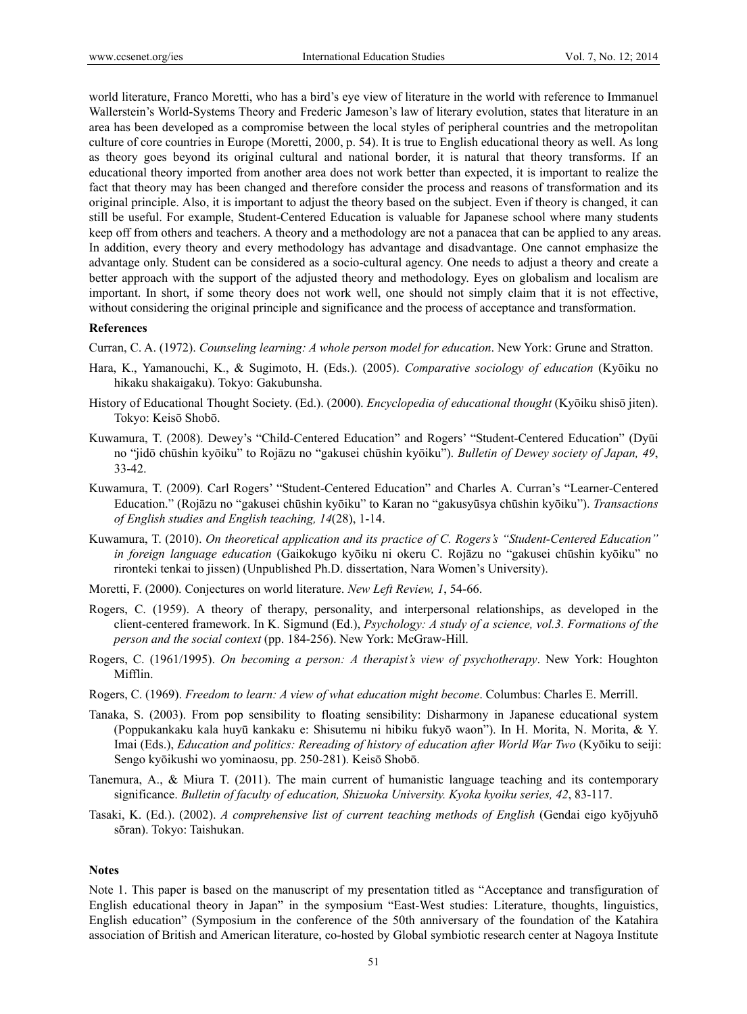world literature, Franco Moretti, who has a bird's eye view of literature in the world with reference to Immanuel Wallerstein's World-Systems Theory and Frederic Jameson's law of literary evolution, states that literature in an area has been developed as a compromise between the local styles of peripheral countries and the metropolitan culture of core countries in Europe (Moretti, 2000, p. 54). It is true to English educational theory as well. As long as theory goes beyond its original cultural and national border, it is natural that theory transforms. If an educational theory imported from another area does not work better than expected, it is important to realize the fact that theory may has been changed and therefore consider the process and reasons of transformation and its original principle. Also, it is important to adjust the theory based on the subject. Even if theory is changed, it can still be useful. For example, Student-Centered Education is valuable for Japanese school where many students keep off from others and teachers. A theory and a methodology are not a panacea that can be applied to any areas. In addition, every theory and every methodology has advantage and disadvantage. One cannot emphasize the advantage only. Student can be considered as a socio-cultural agency. One needs to adjust a theory and create a better approach with the support of the adjusted theory and methodology. Eyes on globalism and localism are important. In short, if some theory does not work well, one should not simply claim that it is not effective, without considering the original principle and significance and the process of acceptance and transformation.

#### **References**

Curran, C. A. (1972). *Counseling learning: A whole person model for education*. New York: Grune and Stratton.

- Hara, K., Yamanouchi, K., & Sugimoto, H. (Eds.). (2005). *Comparative sociology of education* (Kyōiku no hikaku shakaigaku). Tokyo: Gakubunsha.
- History of Educational Thought Society. (Ed.). (2000). *Encyclopedia of educational thought* (Kyōiku shisō jiten). Tokyo: Keisō Shobō.
- Kuwamura, T. (2008). Dewey's "Child-Centered Education" and Rogers' "Student-Centered Education" (Dyūi no "jidō chūshin kyōiku" to Rojāzu no "gakusei chūshin kyōiku"). *Bulletin of Dewey society of Japan, 49*, 33-42.
- Kuwamura, T. (2009). Carl Rogers' "Student-Centered Education" and Charles A. Curran's "Learner-Centered Education." (Rojāzu no "gakusei chūshin kyōiku" to Karan no "gakusyūsya chūshin kyōiku"). *Transactions of English studies and English teaching, 14*(28), 1-14.
- Kuwamura, T. (2010). *On theoretical application and its practice of C. Rogers's "Student-Centered Education" in foreign language education* (Gaikokugo kyōiku ni okeru C. Rojāzu no "gakusei chūshin kyōiku" no rironteki tenkai to jissen) (Unpublished Ph.D. dissertation, Nara Women's University).
- Moretti, F. (2000). Conjectures on world literature. *New Left Review, 1*, 54-66.
- Rogers, C. (1959). A theory of therapy, personality, and interpersonal relationships, as developed in the client-centered framework. In K. Sigmund (Ed.), *Psychology: A study of a science, vol.3. Formations of the person and the social context* (pp. 184-256). New York: McGraw-Hill.
- Rogers, C. (1961/1995). *On becoming a person: A therapist's view of psychotherapy*. New York: Houghton Mifflin.
- Rogers, C. (1969). *Freedom to learn: A view of what education might become*. Columbus: Charles E. Merrill.
- Tanaka, S. (2003). From pop sensibility to floating sensibility: Disharmony in Japanese educational system (Poppukankaku kala huyū kankaku e: Shisutemu ni hibiku fukyō waon"). In H. Morita, N. Morita, & Y. Imai (Eds.), *Education and politics: Rereading of history of education after World War Two* (Kyōiku to seiji: Sengo kyōikushi wo yominaosu, pp. 250-281). Keisō Shobō.
- Tanemura, A., & Miura T. (2011). The main current of humanistic language teaching and its contemporary significance. *Bulletin of faculty of education, Shizuoka University. Kyoka kyoiku series, 42*, 83-117.
- Tasaki, K. (Ed.). (2002). *A comprehensive list of current teaching methods of English* (Gendai eigo kyōjyuhō sōran). Tokyo: Taishukan.

#### **Notes**

Note 1. This paper is based on the manuscript of my presentation titled as "Acceptance and transfiguration of English educational theory in Japan" in the symposium "East-West studies: Literature, thoughts, linguistics, English education" (Symposium in the conference of the 50th anniversary of the foundation of the Katahira association of British and American literature, co-hosted by Global symbiotic research center at Nagoya Institute